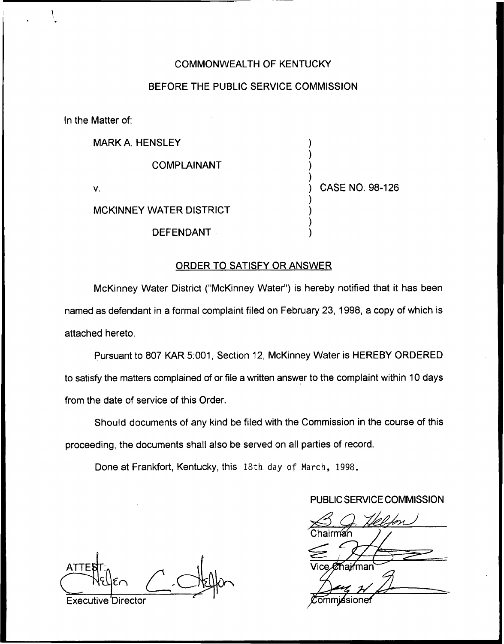# COMMONWEALTH OF KENTUCKY

# BEFORE THE PUBLIC SERVICE COMMISSION

In the Matter of:

MARK A. HENSLEY

COMPLAINANT

V.

) CASE NO. 98-126

 $\overline{\phantom{a}}$ ) ) )

) ) ) )

MCKINNEY WATER DISTRICT

DEFENDANT

## ORDER TO SATISFY OR ANSWER

McKinney Water District ("McKinney Water") is hereby notified that it has beer named as defendant in a formal complaint filed on February 23, 1998, a copy of which is attached hereto.

Pursuant to 807 KAR 5:001, Section 12, McKinney Water is HEREBY ORDERED to satisfy the matters complained of or file a written answer to the complaint within 10 days from the date of service of this Order.

Should documents of any kind be filed with the Commission in the course of this proceeding, the documents shall also be served on all parties of record.

Done at Frankfort, Kentucky, this 18th day of March, 1998.

## PUBLIC SERVICE COMMISSION

airman Vice *Ø* haj⁄rman

**ATTEI** 

Executive Director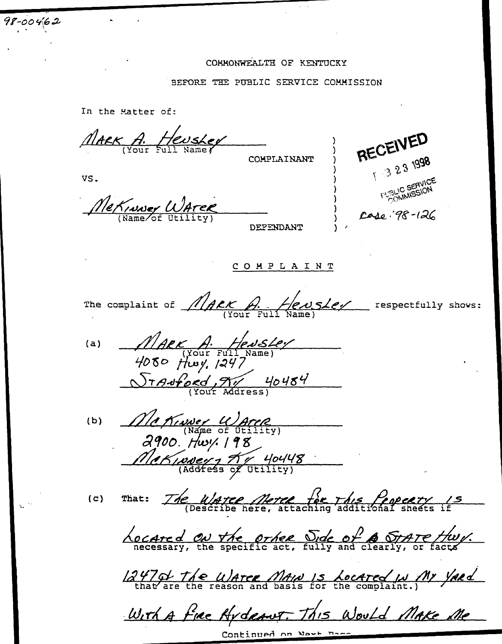#### COMMONWEALTH OF KENTUCKY

#### BEFORE THE PUBLIC SERVICE COMMISSION

In the Matter of:

MARK A. Heuskey

COMPLAINANT

VS.

 $98 - 00462$ 

MeKINNey WATER

DEFENDANT

RECEIVED  $13231998$ FUSLIC SERVICE Case: 98-126

COMPLAINT

The complaint of  $\n *MAER*\n *A*\n *Q*\n *Q*\n *Q*\n *Q*\n *Q*\n *Q*\n *Q*\n *Q*\n *Q*\n *Q*\n *Q*\n *Q*\n *Q*\n *Q*\n *Q*\n *Q*\n *Q*\n *Q*\n *Q*\n *Q*\n$ 

MARK A. Hensley<br>4080 Hwy, 1247  $(a)$ 

Me Kiwer Waren  $(b)$ Mekinder , Kr 40448

 $(c)$ 

That: The United Meter for This Peoperty 15

<u>Located</u> on the other Side of A STATE thuy.

12470 The Waree Main is Located IN My Yard

With a fire Hydraws. This Would Make Me

Continued on Novt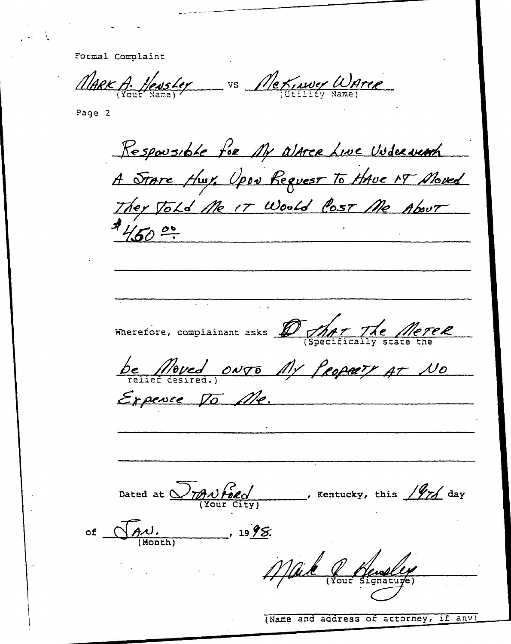Pormal Complaint

MARK A. Hensley vs Me Kinney Waren

Page 2

Responsible for My alarce Line Underweath A STATE Huy, Upon Request To HAVE NT Moved  $4/50°$ Wherefore, complainant asks D That The Meree <u>be Moved onyo My Propary AT No</u> Expence To Me. Dated at  $\frac{1}{\sqrt{2\pi N}}\frac{\sqrt{6\alpha}}{\sqrt{N}}$ , Kentucky, this  $\frac{1}{\sqrt{N}}$  day of <u>Jaw.</u>  $-1998$ Mail Renelly

(Name and address of attorney, if any)